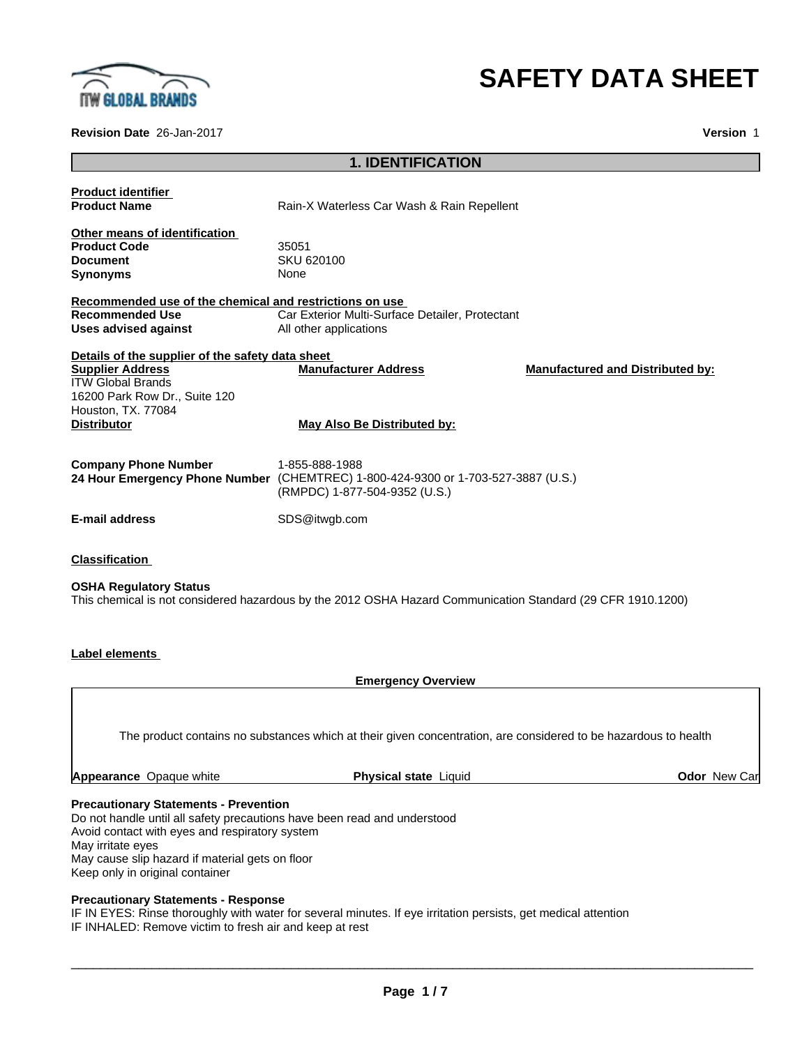

# **SAFETY DATA SHEET**

Car

**Revision Date** 26-Jan-2017 **Version** 1

## **1. IDENTIFICATION**

| <b>Product identifier</b>                                                                                                                                                            |                                                                                                                                      |                                         |
|--------------------------------------------------------------------------------------------------------------------------------------------------------------------------------------|--------------------------------------------------------------------------------------------------------------------------------------|-----------------------------------------|
| <b>Product Name</b>                                                                                                                                                                  | Rain-X Waterless Car Wash & Rain Repellent                                                                                           |                                         |
| Other means of identification<br><b>Product Code</b><br><b>Document</b>                                                                                                              | 35051<br>SKU 620100                                                                                                                  |                                         |
| <b>Synonyms</b>                                                                                                                                                                      | None                                                                                                                                 |                                         |
| Recommended use of the chemical and restrictions on use<br><b>Recommended Use</b>                                                                                                    | Car Exterior Multi-Surface Detailer, Protectant                                                                                      |                                         |
| <b>Uses advised against</b>                                                                                                                                                          | All other applications                                                                                                               |                                         |
| Details of the supplier of the safety data sheet<br><b>Supplier Address</b><br><b>ITW Global Brands</b><br>16200 Park Row Dr., Suite 120<br>Houston, TX. 77084<br><b>Distributor</b> | <b>Manufacturer Address</b><br>May Also Be Distributed by:                                                                           | <b>Manufactured and Distributed by:</b> |
| <b>Company Phone Number</b>                                                                                                                                                          | 1-855-888-1988<br>24 Hour Emergency Phone Number (CHEMTREC) 1-800-424-9300 or 1-703-527-3887 (U.S.)<br>(RMPDC) 1-877-504-9352 (U.S.) |                                         |
| <b>E-mail address</b>                                                                                                                                                                | SDS@itwgb.com                                                                                                                        |                                         |
| <b>Classification</b><br><b>OSHA Regulatory Status</b>                                                                                                                               | This chemical is not considered hazardous by the 2012 OSHA Hazard Communication Standard (29 CFR 1910.1200)                          |                                         |
| <b>Label elements</b>                                                                                                                                                                |                                                                                                                                      |                                         |
|                                                                                                                                                                                      | <b>Emergency Overview</b>                                                                                                            |                                         |

The product contains no substances which at their given concentration, are considered to be hazardous to health

| <b>Appearance</b> Opaque white | <b>Physical state Liquid</b> | <b>Odor</b> New |
|--------------------------------|------------------------------|-----------------|
|                                |                              |                 |

#### **Precautionary Statements - Prevention**

Do not handle until all safety precautions have been read and understood Avoid contact with eyes and respiratory system May irritate eyes May cause slip hazard if material gets on floor Keep only in original container

## **Precautionary Statements - Response**

IF IN EYES: Rinse thoroughly with water for several minutes. If eye irritation persists, get medical attention IF INHALED: Remove victim to fresh air and keep at rest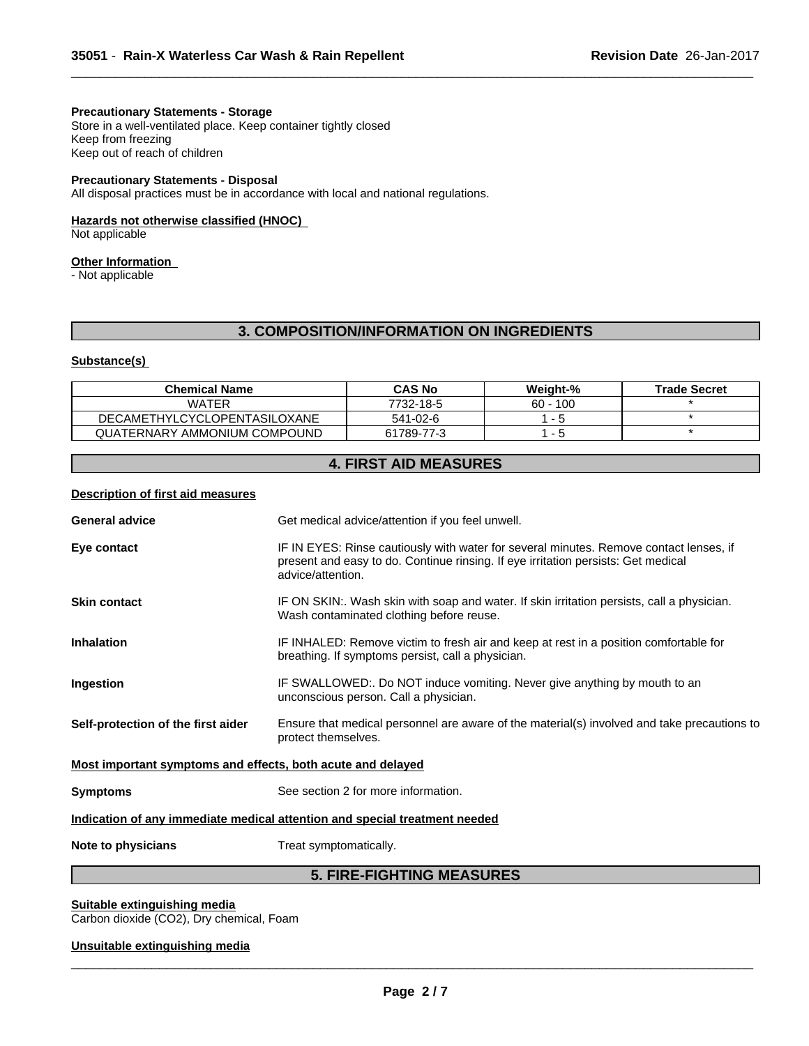### **Precautionary Statements - Storage**

Store in a well-ventilated place. Keep container tightly closed Keep from freezing Keep out of reach of children

#### **Precautionary Statements - Disposal**

All disposal practices must be in accordance with local and national regulations.

#### **Hazards not otherwise classified (HNOC)**

Not applicable

## **Other Information**

- Not applicable

## **3. COMPOSITION/INFORMATION ON INGREDIENTS**

 $\overline{\phantom{a}}$  ,  $\overline{\phantom{a}}$  ,  $\overline{\phantom{a}}$  ,  $\overline{\phantom{a}}$  ,  $\overline{\phantom{a}}$  ,  $\overline{\phantom{a}}$  ,  $\overline{\phantom{a}}$  ,  $\overline{\phantom{a}}$  ,  $\overline{\phantom{a}}$  ,  $\overline{\phantom{a}}$  ,  $\overline{\phantom{a}}$  ,  $\overline{\phantom{a}}$  ,  $\overline{\phantom{a}}$  ,  $\overline{\phantom{a}}$  ,  $\overline{\phantom{a}}$  ,  $\overline{\phantom{a}}$ 

#### **Substance(s)**

| <b>Chemical Name</b>                | <b>CAS No</b> | Weight-%   | <b>Trade Secret</b> |
|-------------------------------------|---------------|------------|---------------------|
| WATER                               | 7732-18-5     | $60 - 100$ |                     |
| <b>DECAMETHYLCYCLOPENTASILOXANE</b> | 541-02-6      |            |                     |
| QUATERNARY AMMONIUM COMPOUND        | 61789-77-3    |            |                     |

## **4. FIRST AID MEASURES**

## **Description of first aid measures**

|                                                             | <b>5. FIRE-FIGHTING MEASURES</b>                                                                                                                                                                 |
|-------------------------------------------------------------|--------------------------------------------------------------------------------------------------------------------------------------------------------------------------------------------------|
| Note to physicians                                          | Treat symptomatically.                                                                                                                                                                           |
|                                                             | Indication of any immediate medical attention and special treatment needed                                                                                                                       |
| <b>Symptoms</b>                                             | See section 2 for more information.                                                                                                                                                              |
| Most important symptoms and effects, both acute and delayed |                                                                                                                                                                                                  |
| Self-protection of the first aider                          | Ensure that medical personnel are aware of the material(s) involved and take precautions to<br>protect themselves.                                                                               |
| Ingestion                                                   | IF SWALLOWED:. Do NOT induce vomiting. Never give anything by mouth to an<br>unconscious person. Call a physician.                                                                               |
| <b>Inhalation</b>                                           | IF INHALED: Remove victim to fresh air and keep at rest in a position comfortable for<br>breathing. If symptoms persist, call a physician.                                                       |
| <b>Skin contact</b>                                         | IF ON SKIN:. Wash skin with soap and water. If skin irritation persists, call a physician.<br>Wash contaminated clothing before reuse.                                                           |
| Eye contact                                                 | IF IN EYES: Rinse cautiously with water for several minutes. Remove contact lenses, if<br>present and easy to do. Continue rinsing. If eye irritation persists: Get medical<br>advice/attention. |
| <b>General advice</b>                                       | Get medical advice/attention if you feel unwell.                                                                                                                                                 |
|                                                             |                                                                                                                                                                                                  |

## **Suitable extinguishing media**

Carbon dioxide (CO2), Dry chemical, Foam

#### **Unsuitable extinguishing media**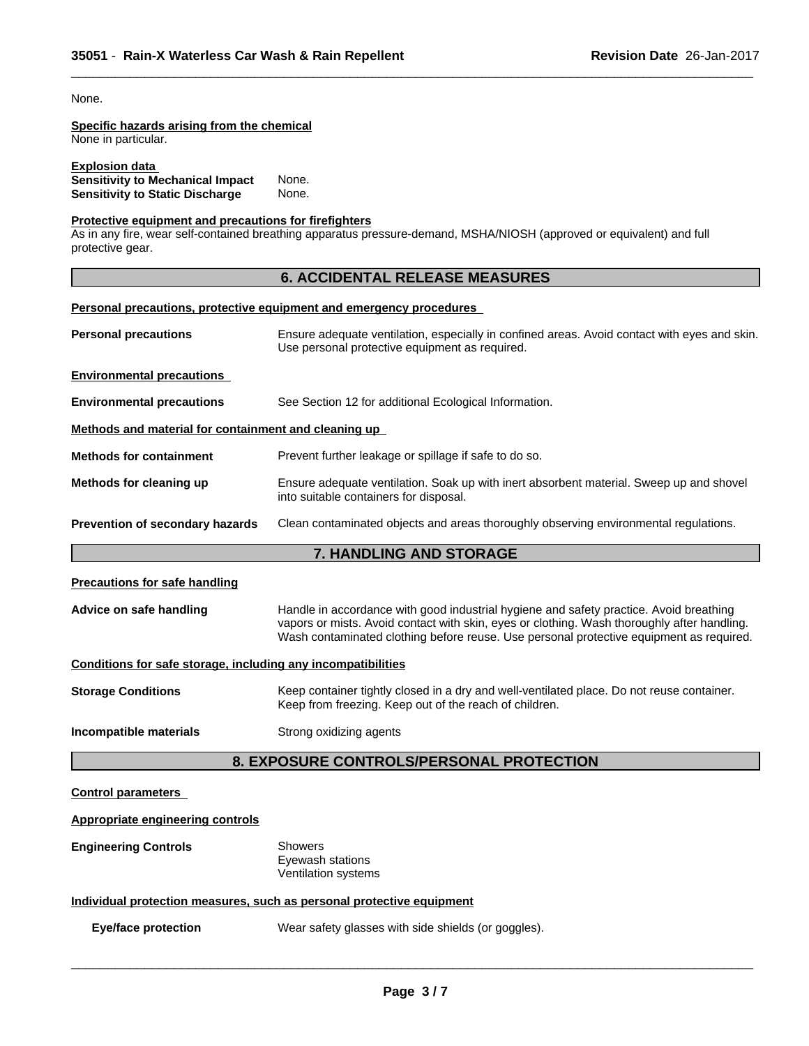None.

## **Specific hazards arising from the chemical**

None in particular.

#### **Explosion data Sensitivity to Mechanical Impact** None. **Sensitivity to Static Discharge** None.

#### **Protective equipment and precautions for firefighters**

As in any fire, wear self-contained breathing apparatus pressure-demand, MSHA/NIOSH (approved or equivalent) and full protective gear.

## **6. ACCIDENTAL RELEASE MEASURES**

 $\overline{\phantom{a}}$  ,  $\overline{\phantom{a}}$  ,  $\overline{\phantom{a}}$  ,  $\overline{\phantom{a}}$  ,  $\overline{\phantom{a}}$  ,  $\overline{\phantom{a}}$  ,  $\overline{\phantom{a}}$  ,  $\overline{\phantom{a}}$  ,  $\overline{\phantom{a}}$  ,  $\overline{\phantom{a}}$  ,  $\overline{\phantom{a}}$  ,  $\overline{\phantom{a}}$  ,  $\overline{\phantom{a}}$  ,  $\overline{\phantom{a}}$  ,  $\overline{\phantom{a}}$  ,  $\overline{\phantom{a}}$ 

#### **Personal precautions, protective equipment and emergency procedures**

| <b>Personal precautions</b>                          | Ensure adequate ventilation, especially in confined areas. Avoid contact with eyes and skin.<br>Use personal protective equipment as required. |
|------------------------------------------------------|------------------------------------------------------------------------------------------------------------------------------------------------|
| <b>Environmental precautions</b>                     |                                                                                                                                                |
| <b>Environmental precautions</b>                     | See Section 12 for additional Ecological Information.                                                                                          |
| Methods and material for containment and cleaning up |                                                                                                                                                |
| <b>Methods for containment</b>                       | Prevent further leakage or spillage if safe to do so.                                                                                          |
| Methods for cleaning up                              | Ensure adequate ventilation. Soak up with inert absorbent material. Sweep up and shovel<br>into suitable containers for disposal.              |
| Prevention of secondary hazards                      | Clean contaminated objects and areas thoroughly observing environmental regulations.                                                           |
|                                                      |                                                                                                                                                |

## **7. HANDLING AND STORAGE**

#### **Precautions for safe handling**

| Advice on safe handling | Handle in accordance with good industrial hygiene and safety practice. Avoid breathing      |
|-------------------------|---------------------------------------------------------------------------------------------|
|                         | vapors or mists. Avoid contact with skin, eyes or clothing. Wash thoroughly after handling. |
|                         | Wash contaminated clothing before reuse. Use personal protective equipment as required.     |

## **Conditions for safe storage, including any incompatibilities**

**Storage Conditions** Keep container tightly closed in a dry and well-ventilated place. Do not reuse container. Keep from freezing. Keep out of the reach of children.

## **Incompatible materials** Strong oxidizing agents

## **8. EXPOSURE CONTROLS/PERSONAL PROTECTION**

#### **Control parameters**

| <b>Appropriate engineering controls</b>                               |                                                           |  |
|-----------------------------------------------------------------------|-----------------------------------------------------------|--|
| <b>Engineering Controls</b>                                           | Showers<br>Eyewash stations<br><b>Ventilation systems</b> |  |
| Individual protection measures, such as personal protective equipment |                                                           |  |
| <b>Eye/face protection</b>                                            | Wear safety glasses with side shields (or goggles).       |  |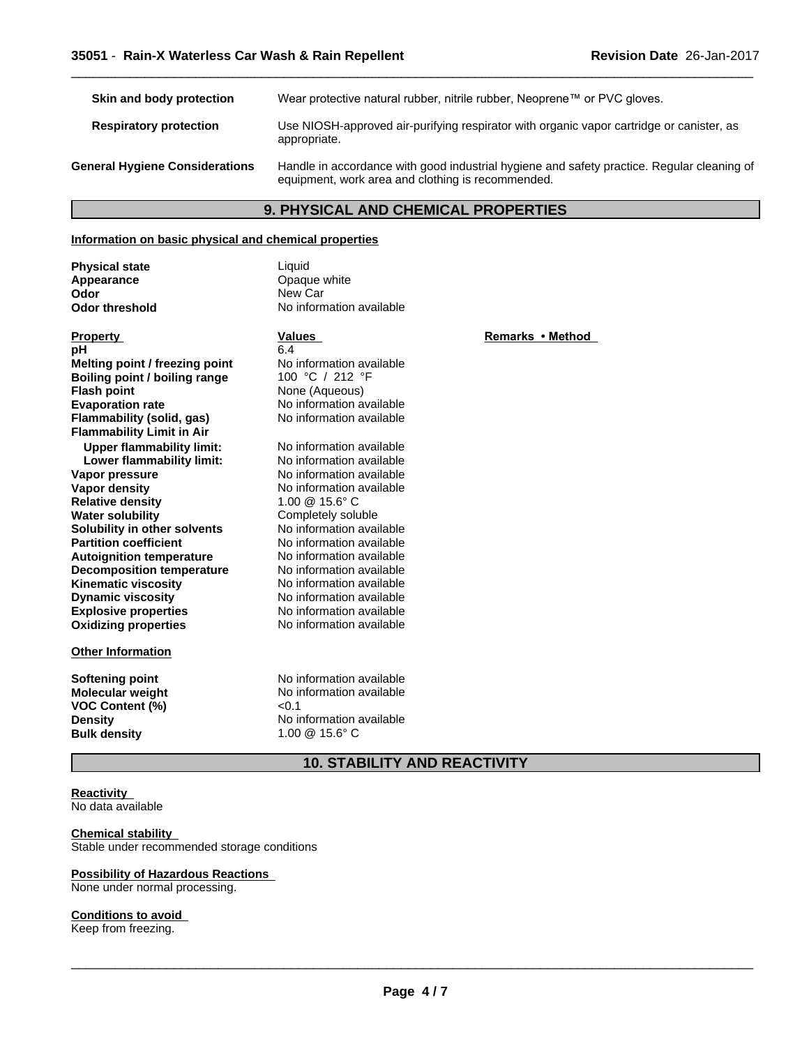| Skin and body protection              | Wear protective natural rubber, nitrile rubber, Neoprene™ or PVC gloves.                                                                        |
|---------------------------------------|-------------------------------------------------------------------------------------------------------------------------------------------------|
| <b>Respiratory protection</b>         | Use NIOSH-approved air-purifying respirator with organic vapor cartridge or canister, as<br>appropriate.                                        |
| <b>General Hygiene Considerations</b> | Handle in accordance with good industrial hygiene and safety practice. Regular cleaning of<br>equipment, work area and clothing is recommended. |

## **9. PHYSICAL AND CHEMICAL PROPERTIES**

#### **Information on basic physical and chemical properties**

**Physical state** Liquid<br> **Appearance** Change Chaque **Appearance Construction Construction Construction Construction Construction Construction Construction Construction Construction Construction Construction Construction Construction Construction Construction Construction Odor** New Car<br> **Odor threshold** No inform

**No information available** 

| <b>Property</b>                  | <b>Values</b>                      |
|----------------------------------|------------------------------------|
| рH                               | 6 4                                |
| Melting point / freezing point   | No information available           |
| Boiling point / boiling range    | 100 °C / 212 °F                    |
| <b>Flash point</b>               | None (Aqueous)                     |
| <b>Evaporation rate</b>          | No information available           |
| <b>Flammability (solid, gas)</b> | No information available           |
| <b>Flammability Limit in Air</b> |                                    |
| <b>Upper flammability limit:</b> | No information available           |
| Lower flammability limit:        | No information available           |
| Vapor pressure                   | No information available           |
| Vapor density                    | No information available           |
| <b>Relative density</b>          | $1.00 \ @ \ 15.6^{\circ} \text{C}$ |
| <b>Water solubility</b>          | Completely soluble                 |
| Solubility in other solvents     | No information available           |
| <b>Partition coefficient</b>     | No information available           |
| <b>Autoignition temperature</b>  | No information available           |
| <b>Decomposition temperature</b> | No information available           |
| <b>Kinematic viscosity</b>       | No information available           |
| <b>Dynamic viscosity</b>         | No information available           |
| <b>Explosive properties</b>      | No information available           |
| <b>Oxidizing properties</b>      | No information available           |
| <b>Other Information</b>         |                                    |

**Softening point**<br> **Molecular weight**<br> **Molecular weight**<br> **Molecular weight**<br> **Molecular weight**<br> **Molecular weight VOC Content (%)**<br>Density **Bulk density** 

No information available<br>
<0.1

No information available<br>1.00 <sup>@</sup> 15.6° C

**Property Values**<br> **Remarks** • Method<br> **Remarks** • Method

 $\overline{\phantom{a}}$  ,  $\overline{\phantom{a}}$  ,  $\overline{\phantom{a}}$  ,  $\overline{\phantom{a}}$  ,  $\overline{\phantom{a}}$  ,  $\overline{\phantom{a}}$  ,  $\overline{\phantom{a}}$  ,  $\overline{\phantom{a}}$  ,  $\overline{\phantom{a}}$  ,  $\overline{\phantom{a}}$  ,  $\overline{\phantom{a}}$  ,  $\overline{\phantom{a}}$  ,  $\overline{\phantom{a}}$  ,  $\overline{\phantom{a}}$  ,  $\overline{\phantom{a}}$  ,  $\overline{\phantom{a}}$ 

**10. STABILITY AND REACTIVITY**

#### **Reactivity** No data available

#### **Chemical stability**

Stable under recommended storage conditions

## **Possibility of Hazardous Reactions**

None under normal processing.

## **Conditions to avoid**

Keep from freezing.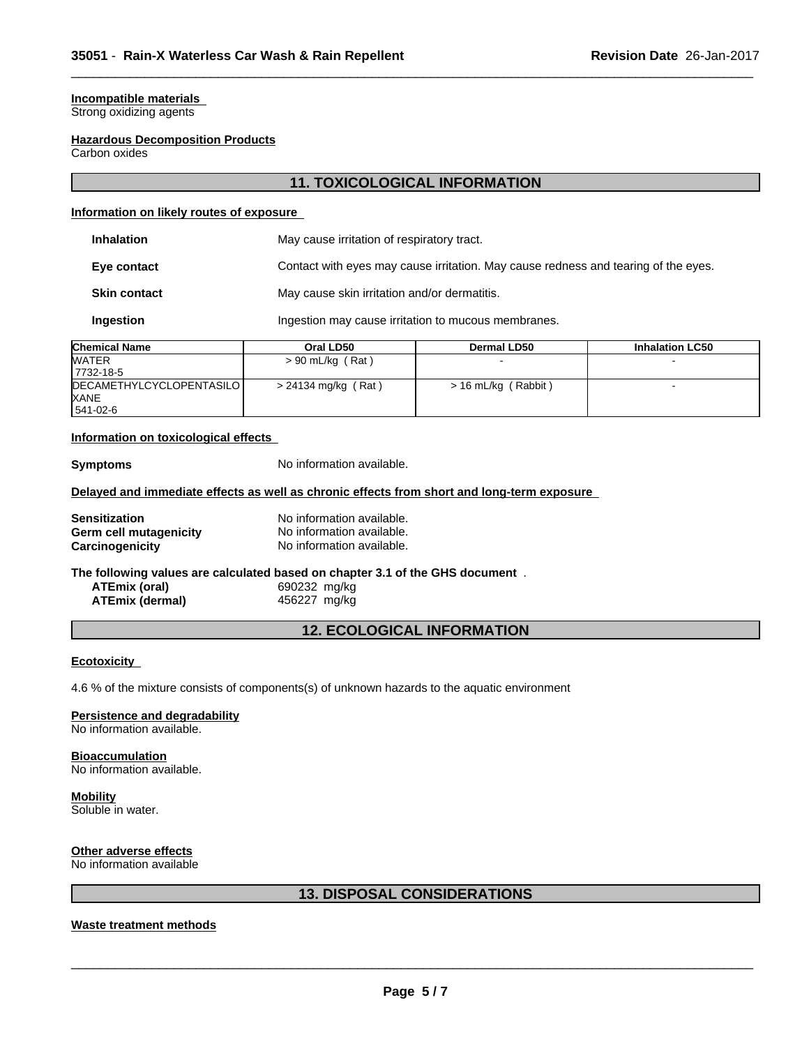### **Incompatible materials**

Strong oxidizing agents

#### **Hazardous Decomposition Products**

Carbon oxides

## **11. TOXICOLOGICAL INFORMATION**

 $\overline{\phantom{a}}$  ,  $\overline{\phantom{a}}$  ,  $\overline{\phantom{a}}$  ,  $\overline{\phantom{a}}$  ,  $\overline{\phantom{a}}$  ,  $\overline{\phantom{a}}$  ,  $\overline{\phantom{a}}$  ,  $\overline{\phantom{a}}$  ,  $\overline{\phantom{a}}$  ,  $\overline{\phantom{a}}$  ,  $\overline{\phantom{a}}$  ,  $\overline{\phantom{a}}$  ,  $\overline{\phantom{a}}$  ,  $\overline{\phantom{a}}$  ,  $\overline{\phantom{a}}$  ,  $\overline{\phantom{a}}$ 

#### **Information on likely routes of exposure**

|                     | <b>AILBRA</b> |                                                                                    | . |  |
|---------------------|---------------|------------------------------------------------------------------------------------|---|--|
| Ingestion           |               | Ingestion may cause irritation to mucous membranes.                                |   |  |
| <b>Skin contact</b> |               | May cause skin irritation and/or dermatitis.                                       |   |  |
| Eye contact         |               | Contact with eyes may cause irritation. May cause redness and tearing of the eyes. |   |  |
| <b>Inhalation</b>   |               | May cause irritation of respiratory tract.                                         |   |  |

| <b>Chemical Name</b>                    | Oral LD50           | <b>Dermal LD50</b>  | <b>Inhalation LC50</b> |  |
|-----------------------------------------|---------------------|---------------------|------------------------|--|
| <b>WATER</b>                            | $> 90$ mL/kg (Rat)  |                     |                        |  |
| 17732-18-5                              |                     |                     |                        |  |
| DECAMETHYLCYCLOPENTASILO<br><b>XANE</b> | > 24134 mg/kg (Rat) | > 16 mL/kg (Rabbit) |                        |  |
| 541-02-6                                |                     |                     |                        |  |

#### **Information on toxicological effects**

**Symptoms** No information available.

#### **Delayed and immediate effects as well as chronic effects from short and long-term exposure**

| <b>Sensitization</b>   | No information available. |
|------------------------|---------------------------|
| Germ cell mutagenicity | No information available. |
| Carcinogenicity        | No information available. |

## **The following values are calculated based on chapter 3.1 of the GHS document** .

| ATEmix (oral)          | 690232 mg/kg |  |
|------------------------|--------------|--|
| <b>ATEmix (dermal)</b> | 456227 mg/kg |  |

## **12. ECOLOGICAL INFORMATION**

#### **Ecotoxicity**

4.6 % of the mixture consists of components(s) of unknown hazards to the aquatic environment

#### **Persistence and degradability**

No information available.

#### **Bioaccumulation**

No information available.

## **Mobility**

Soluble in water.

#### **Other adverse effects**

No information available

## **13. DISPOSAL CONSIDERATIONS**

## **Waste treatment methods**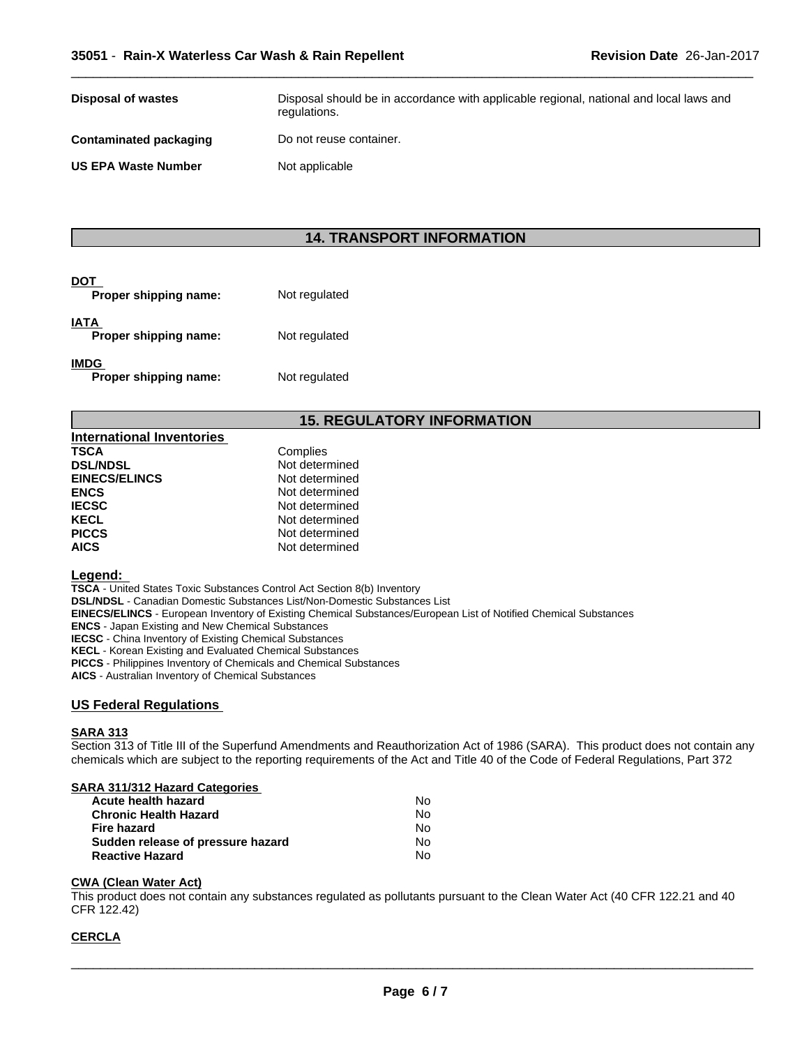| <b>Disposal of wastes</b>  | Disposal should be in accordance with applicable regional, national and local laws and<br>regulations. |
|----------------------------|--------------------------------------------------------------------------------------------------------|
| Contaminated packaging     | Do not reuse container.                                                                                |
| <b>US EPA Waste Number</b> | Not applicable                                                                                         |

 $\overline{\phantom{a}}$  ,  $\overline{\phantom{a}}$  ,  $\overline{\phantom{a}}$  ,  $\overline{\phantom{a}}$  ,  $\overline{\phantom{a}}$  ,  $\overline{\phantom{a}}$  ,  $\overline{\phantom{a}}$  ,  $\overline{\phantom{a}}$  ,  $\overline{\phantom{a}}$  ,  $\overline{\phantom{a}}$  ,  $\overline{\phantom{a}}$  ,  $\overline{\phantom{a}}$  ,  $\overline{\phantom{a}}$  ,  $\overline{\phantom{a}}$  ,  $\overline{\phantom{a}}$  ,  $\overline{\phantom{a}}$ 

## **14. TRANSPORT INFORMATION**

| DOT<br>Proper shipping name:         | Not regulated |  |
|--------------------------------------|---------------|--|
| IATA<br>Proper shipping name:        | Not regulated |  |
| <b>IMDG</b><br>Proper shipping name: | Not regulated |  |

## **15. REGULATORY INFORMATION**

| International Inventories |                |
|---------------------------|----------------|
| <b>TSCA</b>               | Complies       |
| <b>DSL/NDSL</b>           | Not determined |
| <b>EINECS/ELINCS</b>      | Not determined |
| <b>ENCS</b>               | Not determined |
| <b>IECSC</b>              | Not determined |
| <b>KECL</b>               | Not determined |
| <b>PICCS</b>              | Not determined |
| <b>AICS</b>               | Not determined |

#### **Legend:**

**TSCA** - United States Toxic Substances Control Act Section 8(b) Inventory **DSL/NDSL** - Canadian Domestic Substances List/Non-Domestic Substances List **EINECS/ELINCS** - European Inventory of Existing Chemical Substances/European List of Notified Chemical Substances **ENCS** - Japan Existing and New Chemical Substances **IECSC** - China Inventory of Existing Chemical Substances **KECL** - Korean Existing and Evaluated Chemical Substances **PICCS** - Philippines Inventory of Chemicals and Chemical Substances

**AICS** - Australian Inventory of Chemical Substances

#### **US Federal Regulations**

#### **SARA 313**

Section 313 of Title III of the Superfund Amendments and Reauthorization Act of 1986 (SARA). This product does not contain any chemicals which are subject to the reporting requirements of the Act and Title 40 of the Code of Federal Regulations, Part 372

#### **SARA 311/312 Hazard Categories**

| Acute health hazard               | No |  |
|-----------------------------------|----|--|
| <b>Chronic Health Hazard</b>      | N٥ |  |
| Fire hazard                       | N٥ |  |
| Sudden release of pressure hazard | N٥ |  |
| <b>Reactive Hazard</b>            | N٥ |  |

#### **CWA (Clean WaterAct)**

This product does not contain any substances regulated as pollutants pursuant to the Clean Water Act (40 CFR 122.21 and 40 CFR 122.42)

#### **CERCLA**